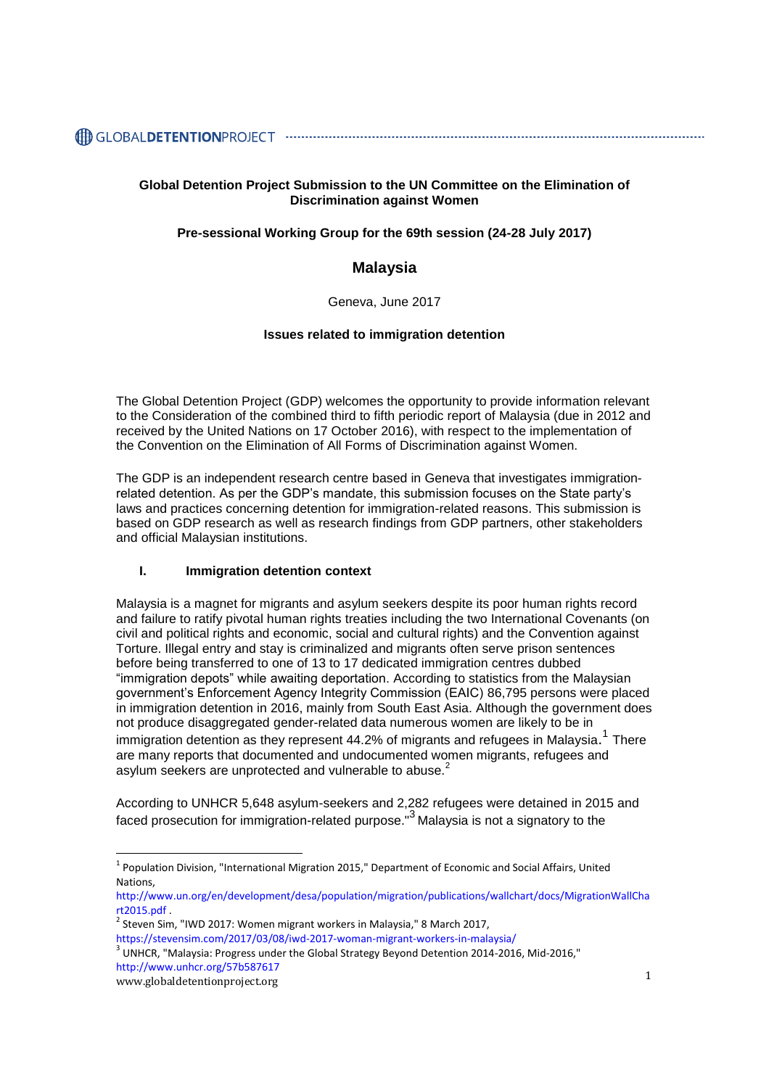# 

# **Global Detention Project Submission to the UN Committee on the Elimination of Discrimination against Women**

### **Pre-sessional Working Group for the 69th session (24-28 July 2017)**

# **Malaysia**

#### Geneva, June 2017

#### **Issues related to immigration detention**

The Global Detention Project (GDP) welcomes the opportunity to provide information relevant to the Consideration of the combined third to fifth periodic report of Malaysia (due in 2012 and received by the United Nations on 17 October 2016), with respect to the implementation of the Convention on the Elimination of All Forms of Discrimination against Women.

The GDP is an independent research centre based in Geneva that investigates immigrationrelated detention. As per the GDP's mandate, this submission focuses on the State party's laws and practices concerning detention for immigration-related reasons. This submission is based on GDP research as well as research findings from GDP partners, other stakeholders and official Malaysian institutions.

### **I. Immigration detention context**

Malaysia is a magnet for migrants and asylum seekers despite its poor human rights record and failure to ratify pivotal human rights treaties including the two International Covenants (on civil and political rights and economic, social and cultural rights) and the Convention against Torture. Illegal entry and stay is criminalized and migrants often serve prison sentences before being transferred to one of 13 to 17 dedicated immigration centres dubbed "immigration depots" while awaiting deportation. According to statistics from the Malaysian government's Enforcement Agency Integrity Commission (EAIC) 86,795 persons were placed in immigration detention in 2016, mainly from South East Asia. Although the government does not produce disaggregated gender-related data numerous women are likely to be in immigration detention as they represent 44.2% of migrants and refugees in Malaysia.<sup>1</sup> There are many reports that documented and undocumented women migrants, refugees and asylum seekers are unprotected and vulnerable to abuse.<sup>2</sup>

According to UNHCR 5,648 asylum-seekers and 2,282 refugees were detained in 2015 and faced prosecution for immigration-related purpose."<sup>3</sup> Malaysia is not a signatory to the

 $\overline{a}$ 

<sup>&</sup>lt;sup>1</sup> Population Division, "International Migration 2015," Department of Economic and Social Affairs, United Nations,

[http://www.un.org/en/development/desa/population/migration/publications/wallchart/docs/MigrationWallCha](http://www.un.org/en/development/desa/population/migration/publications/wallchart/docs/MigrationWallChart2015.pdf) [rt2015.pdf](http://www.un.org/en/development/desa/population/migration/publications/wallchart/docs/MigrationWallChart2015.pdf) .

 $2$  Steven Sim, "IWD 2017: Women migrant workers in Malaysia," 8 March 2017,

<https://stevensim.com/2017/03/08/iwd-2017-woman-migrant-workers-in-malaysia/>

www.globaldetentionproject.org 1  $^3$  UNHCR, "Malaysia: Progress under the Global Strategy Beyond Detention 2014-2016, Mid-2016," <http://www.unhcr.org/57b587617>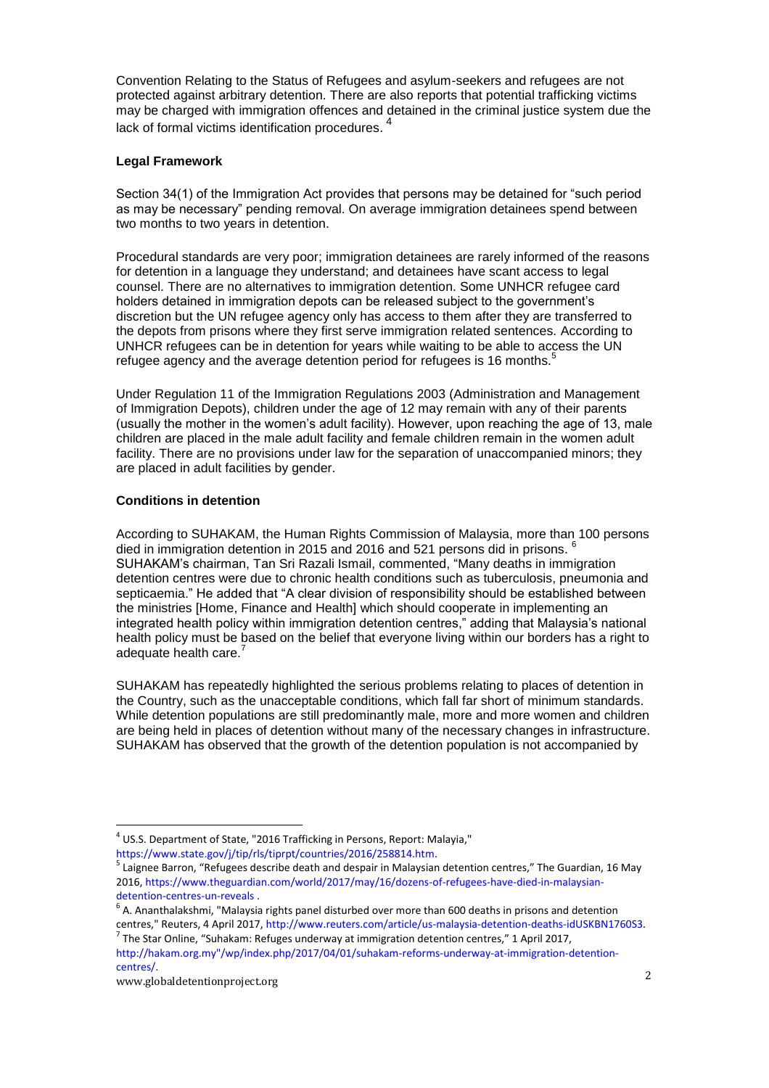Convention Relating to the Status of Refugees and asylum-seekers and refugees are not protected against arbitrary detention. There are also reports that potential trafficking victims may be charged with immigration offences and detained in the criminal justice system due the lack of formal victims identification procedures.  $^{\mathsf{4}}$ 

# **Legal Framework**

Section 34(1) of the Immigration Act provides that persons may be detained for "such period as may be necessary" pending removal. On average immigration detainees spend between two months to two years in detention.

Procedural standards are very poor; immigration detainees are rarely informed of the reasons for detention in a language they understand; and detainees have scant access to legal counsel. There are no alternatives to immigration detention. Some UNHCR refugee card holders detained in immigration depots can be released subject to the government's discretion but the UN refugee agency only has access to them after they are transferred to the depots from prisons where they first serve immigration related sentences. According to UNHCR refugees can be in detention for years while waiting to be able to access the UN refugee agency and the average detention period for refugees is 16 months.<sup>5</sup>

Under Regulation 11 of the Immigration Regulations 2003 (Administration and Management of Immigration Depots), children under the age of 12 may remain with any of their parents (usually the mother in the women's adult facility). However, upon reaching the age of 13, male children are placed in the male adult facility and female children remain in the women adult facility. There are no provisions under law for the separation of unaccompanied minors; they are placed in adult facilities by gender.

# **Conditions in detention**

According to SUHAKAM, the Human Rights Commission of Malaysia, more than 100 persons died in immigration detention in 2015 and 2016 and 521 persons did in prisons. <sup>6</sup> SUHAKAM's chairman, Tan Sri Razali Ismail, commented, "Many deaths in immigration detention centres were due to chronic health conditions such as tuberculosis, pneumonia and septicaemia." He added that "A clear division of responsibility should be established between the ministries [Home, Finance and Health] which should cooperate in implementing an integrated health policy within immigration detention centres," adding that Malaysia's national health policy must be based on the belief that everyone living within our borders has a right to adequate health care.<sup>7</sup>

SUHAKAM has repeatedly highlighted the serious problems relating to places of detention in the Country, such as the unacceptable conditions, which fall far short of minimum standards. While detention populations are still predominantly male, more and more women and children are being held in places of detention without many of the necessary changes in infrastructure. SUHAKAM has observed that the growth of the detention population is not accompanied by

 $\overline{a}$  $^{4}$  US.S. Department of State, "2016 Trafficking in Persons, Report: Malayia,"

[https://www.state.gov/j/tip/rls/tiprpt/countries/2016/258814.htm.](https://www.state.gov/j/tip/rls/tiprpt/countries/2016/258814.htm)

<sup>&</sup>lt;sup>5</sup> Laignee Barron, "Refugees describe death and despair in Malaysian detention centres," The Guardian, 16 May 2016[, https://www.theguardian.com/world/2017/may/16/dozens-of-refugees-have-died-in-malaysian](https://www.theguardian.com/world/2017/may/16/dozens-of-refugees-have-died-in-malaysian-detention-centres-un-reveals)[detention-centres-un-reveals](https://www.theguardian.com/world/2017/may/16/dozens-of-refugees-have-died-in-malaysian-detention-centres-un-reveals) .

 $<sup>6</sup>$  A. Ananthalakshmi, "Malaysia rights panel disturbed over more than 600 deaths in prisons and detention</sup> centres," Reuters, 4 April 2017, [http://www.reuters.com/article/us-malaysia-detention-deaths-idUSKBN1760S3.](http://www.reuters.com/article/us-malaysia-detention-deaths-idUSKBN1760S3) 

 $^7$  The Star Online, "Suhakam: Refuges underway at immigration detention centres," 1 April 2017, [http://hakam.org.my"/wp/index.php/2017/04/01/suhakam-reforms-underway-at-immigration-detention](http://hakam.org.my/wp/index.php/2017/04/01/suhakam-reforms-underway-at-immigration-detention-centres/)[centres/.](http://hakam.org.my/wp/index.php/2017/04/01/suhakam-reforms-underway-at-immigration-detention-centres/)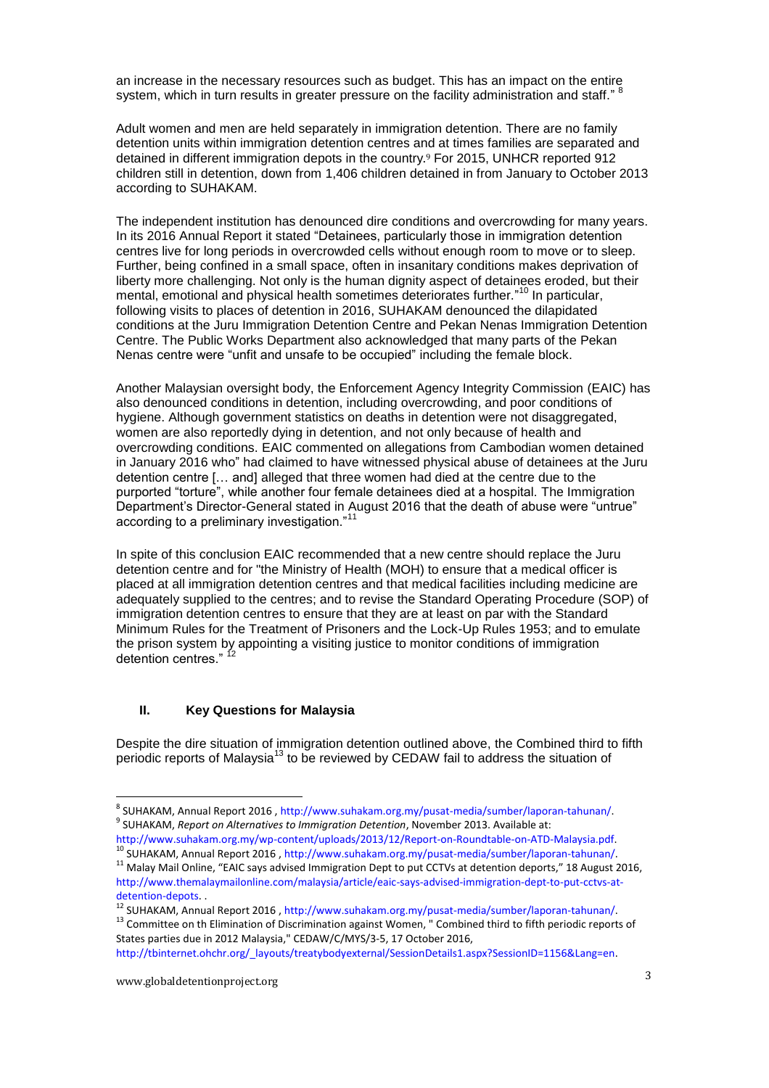an increase in the necessary resources such as budget. This has an impact on the entire system, which in turn results in greater pressure on the facility administration and staff."

Adult women and men are held separately in immigration detention. There are no family detention units within immigration detention centres and at times families are separated and detained in different immigration depots in the country. <sup>9</sup> For 2015, UNHCR reported 912 children still in detention, down from 1,406 children detained in from January to October 2013 according to SUHAKAM.

The independent institution has denounced dire conditions and overcrowding for many years. In its 2016 Annual Report it stated "Detainees, particularly those in immigration detention centres live for long periods in overcrowded cells without enough room to move or to sleep. Further, being confined in a small space, often in insanitary conditions makes deprivation of liberty more challenging. Not only is the human dignity aspect of detainees eroded, but their mental, emotional and physical health sometimes deteriorates further." <sup>10</sup> In particular, following visits to places of detention in 2016, SUHAKAM denounced the dilapidated conditions at the Juru Immigration Detention Centre and Pekan Nenas Immigration Detention Centre. The Public Works Department also acknowledged that many parts of the Pekan Nenas centre were "unfit and unsafe to be occupied" including the female block.

Another Malaysian oversight body, the Enforcement Agency Integrity Commission (EAIC) has also denounced conditions in detention, including overcrowding, and poor conditions of hygiene. Although government statistics on deaths in detention were not disaggregated, women are also reportedly dying in detention, and not only because of health and overcrowding conditions. EAIC commented on allegations from Cambodian women detained in January 2016 who" had claimed to have witnessed physical abuse of detainees at the Juru detention centre [… and] alleged that three women had died at the centre due to the purported "torture", while another four female detainees died at a hospital. The Immigration Department's Director-General stated in August 2016 that the death of abuse were "untrue" according to a preliminary investigation."<sup>11</sup>

In spite of this conclusion EAIC recommended that a new centre should replace the Juru detention centre and for "the Ministry of Health (MOH) to ensure that a medical officer is placed at all immigration detention centres and that medical facilities including medicine are adequately supplied to the centres; and to revise the Standard Operating Procedure (SOP) of immigration detention centres to ensure that they are at least on par with the Standard Minimum Rules for the Treatment of Prisoners and the Lock-Up Rules 1953; and to emulate the prison system by appointing a visiting justice to monitor conditions of immigration detention centres." <sup>12</sup>

#### **II. Key Questions for Malaysia**

Despite the dire situation of immigration detention outlined above, the Combined third to fifth periodic reports of Malaysia<sup>13</sup> to be reviewed by CEDAW fail to address the situation of

[http://www.suhakam.org.my/wp-content/uploads/2013/12/Report-on-Roundtable-on-ATD-Malaysia.pdf.](http://www.suhakam.org.my/wp-content/uploads/2013/12/Report-on-Roundtable-on-ATD-Malaysia.pdf) <sup>10</sup> SUHAKAM, Annual Report 2016 , [http://www.suhakam.org.my/pusat-media/sumber/laporan-tahunan/.](http://www.suhakam.org.my/pusat-media/sumber/laporan-tahunan/)

 $\overline{a}$ 

<sup>&</sup>lt;sup>8</sup> SUHAKAM, Annual Report 2016 , [http://www.suhakam.org.my/pusat-media/sumber/laporan-tahunan/.](http://www.suhakam.org.my/pusat-media/sumber/laporan-tahunan/) 9 SUHAKAM, *Report on Alternatives to Immigration Detention*, November 2013. Available at:

<sup>&</sup>lt;sup>11</sup> Malay Mail Online, "EAIC says advised Immigration Dept to put CCTVs at detention deports," 18 August 2016, [http://www.themalaymailonline.com/malaysia/article/eaic-says-advised-immigration-dept-to-put-cctvs-at](http://www.themalaymailonline.com/malaysia/article/eaic-says-advised-immigration-dept-to-put-cctvs-at-detention-depots)[detention-depots.](http://www.themalaymailonline.com/malaysia/article/eaic-says-advised-immigration-dept-to-put-cctvs-at-detention-depots) .

<sup>12</sup> SUHAKAM, Annual Report 2016 , [http://www.suhakam.org.my/pusat-media/sumber/laporan-tahunan/.](http://www.suhakam.org.my/pusat-media/sumber/laporan-tahunan/)

<sup>&</sup>lt;sup>13</sup> Committee on th Elimination of Discrimination against Women, " Combined third to fifth periodic reports of States parties due in 2012 Malaysia," CEDAW/C/MYS/3-5, 17 October 2016,

[http://tbinternet.ohchr.org/\\_layouts/treatybodyexternal/SessionDetails1.aspx?SessionID=1156&Lang=en.](http://tbinternet.ohchr.org/_layouts/treatybodyexternal/SessionDetails1.aspx?SessionID=1156&Lang=en)